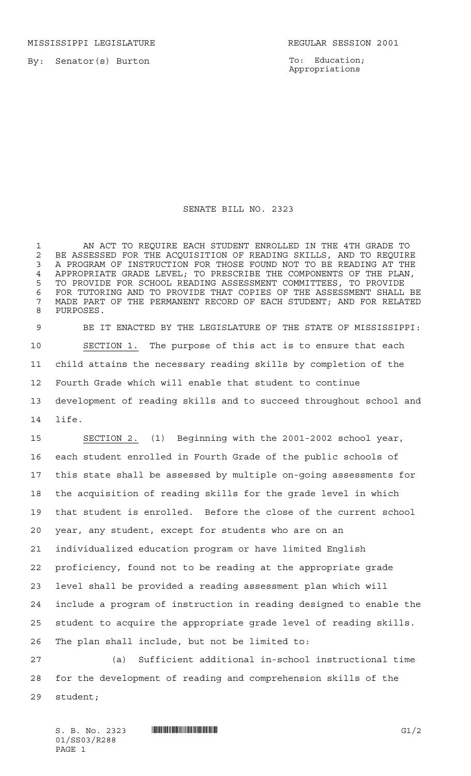MISSISSIPPI LEGISLATURE **REGULAR SESSION 2001** 

To: Education; Appropriations

## SENATE BILL NO. 2323

 AN ACT TO REQUIRE EACH STUDENT ENROLLED IN THE 4TH GRADE TO 2 BE ASSESSED FOR THE ACQUISITION OF READING SKILLS, AND TO REQUIRE<br>3 A PROGRAM OF INSTRUCTION FOR THOSE FOUND NOT TO BE READING AT THE A PROGRAM OF INSTRUCTION FOR THOSE FOUND NOT TO BE READING AT THE APPROPRIATE GRADE LEVEL; TO PRESCRIBE THE COMPONENTS OF THE PLAN, TO PROVIDE FOR SCHOOL READING ASSESSMENT COMMITTEES, TO PROVIDE FOR TUTORING AND TO PROVIDE THAT COPIES OF THE ASSESSMENT SHALL BE MADE PART OF THE PERMANENT RECORD OF EACH STUDENT; AND FOR RELATED PURPOSES.

 BE IT ENACTED BY THE LEGISLATURE OF THE STATE OF MISSISSIPPI: SECTION 1. The purpose of this act is to ensure that each child attains the necessary reading skills by completion of the Fourth Grade which will enable that student to continue development of reading skills and to succeed throughout school and life.

 SECTION 2. (1) Beginning with the 2001-2002 school year, each student enrolled in Fourth Grade of the public schools of this state shall be assessed by multiple on-going assessments for the acquisition of reading skills for the grade level in which that student is enrolled. Before the close of the current school year, any student, except for students who are on an individualized education program or have limited English proficiency, found not to be reading at the appropriate grade level shall be provided a reading assessment plan which will include a program of instruction in reading designed to enable the student to acquire the appropriate grade level of reading skills. The plan shall include, but not be limited to:

 (a) Sufficient additional in-school instructional time for the development of reading and comprehension skills of the student;

 $S. B. No. 2323$  **...**  $\frac{1}{2}$  G1/2 01/SS03/R288 PAGE 1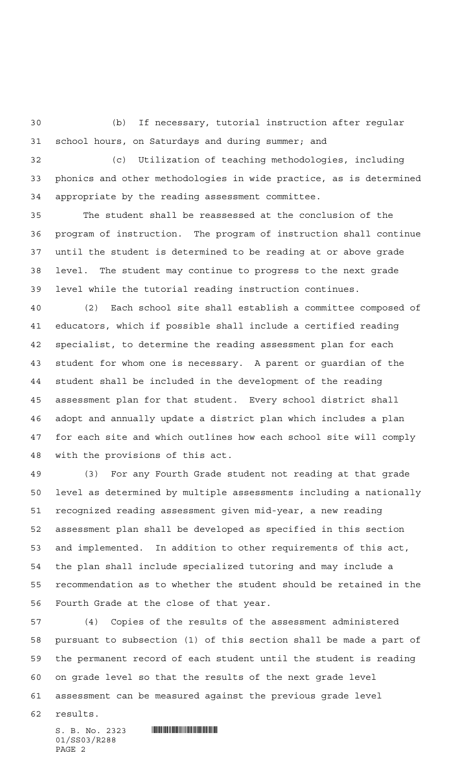(b) If necessary, tutorial instruction after regular school hours, on Saturdays and during summer; and

 (c) Utilization of teaching methodologies, including phonics and other methodologies in wide practice, as is determined appropriate by the reading assessment committee.

 The student shall be reassessed at the conclusion of the program of instruction. The program of instruction shall continue until the student is determined to be reading at or above grade level. The student may continue to progress to the next grade level while the tutorial reading instruction continues.

 (2) Each school site shall establish a committee composed of educators, which if possible shall include a certified reading specialist, to determine the reading assessment plan for each student for whom one is necessary. A parent or guardian of the student shall be included in the development of the reading assessment plan for that student. Every school district shall adopt and annually update a district plan which includes a plan for each site and which outlines how each school site will comply with the provisions of this act.

 (3) For any Fourth Grade student not reading at that grade level as determined by multiple assessments including a nationally recognized reading assessment given mid-year, a new reading assessment plan shall be developed as specified in this section and implemented. In addition to other requirements of this act, the plan shall include specialized tutoring and may include a recommendation as to whether the student should be retained in the Fourth Grade at the close of that year.

 (4) Copies of the results of the assessment administered pursuant to subsection (1) of this section shall be made a part of the permanent record of each student until the student is reading on grade level so that the results of the next grade level assessment can be measured against the previous grade level

results.

01/SS03/R288 PAGE 2

 $S. B. No. 2323$  . So  $R$